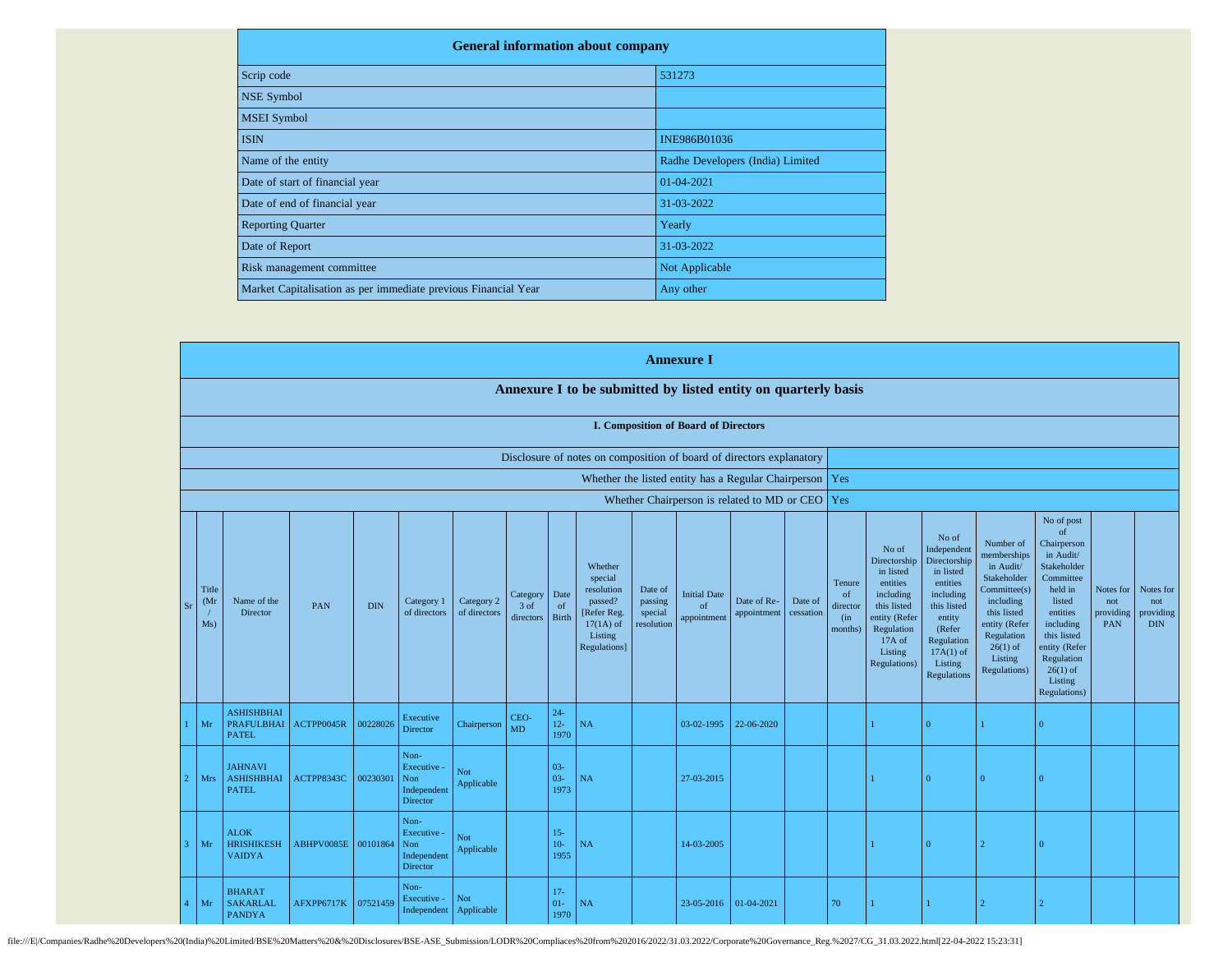| <b>General information about company</b>                       |                                  |
|----------------------------------------------------------------|----------------------------------|
| Scrip code                                                     | 531273                           |
| <b>NSE Symbol</b>                                              |                                  |
| <b>MSEI</b> Symbol                                             |                                  |
| <b>ISIN</b>                                                    | INE986B01036                     |
| Name of the entity                                             | Radhe Developers (India) Limited |
| Date of start of financial year                                | 01-04-2021                       |
| Date of end of financial year                                  | 31-03-2022                       |
| <b>Reporting Quarter</b>                                       | Yearly                           |
| Date of Report                                                 | 31-03-2022                       |
| Risk management committee                                      | Not Applicable                   |
| Market Capitalisation as per immediate previous Financial Year | Any other                        |

|              |                                                   |                      |                                                     |                     |            |                                                       |                            |                                 |                            |                                                                                                      |                                             | <b>Annexure I</b>                        |                                                           |                      |                                                       |                                                                                                                                                |                                                                                                                                                                      |                                                                                                                                                                                  |                                                                                                                                                                                                               |                                      |                                             |
|--------------|---------------------------------------------------|----------------------|-----------------------------------------------------|---------------------|------------|-------------------------------------------------------|----------------------------|---------------------------------|----------------------------|------------------------------------------------------------------------------------------------------|---------------------------------------------|------------------------------------------|-----------------------------------------------------------|----------------------|-------------------------------------------------------|------------------------------------------------------------------------------------------------------------------------------------------------|----------------------------------------------------------------------------------------------------------------------------------------------------------------------|----------------------------------------------------------------------------------------------------------------------------------------------------------------------------------|---------------------------------------------------------------------------------------------------------------------------------------------------------------------------------------------------------------|--------------------------------------|---------------------------------------------|
|              |                                                   |                      |                                                     |                     |            |                                                       |                            |                                 |                            | Annexure I to be submitted by listed entity on quarterly basis                                       |                                             |                                          |                                                           |                      |                                                       |                                                                                                                                                |                                                                                                                                                                      |                                                                                                                                                                                  |                                                                                                                                                                                                               |                                      |                                             |
|              |                                                   |                      |                                                     |                     |            |                                                       |                            |                                 |                            |                                                                                                      |                                             | I. Composition of Board of Directors     |                                                           |                      |                                                       |                                                                                                                                                |                                                                                                                                                                      |                                                                                                                                                                                  |                                                                                                                                                                                                               |                                      |                                             |
|              |                                                   |                      |                                                     |                     |            |                                                       |                            |                                 |                            | Disclosure of notes on composition of board of directors explanatory                                 |                                             |                                          |                                                           |                      |                                                       |                                                                                                                                                |                                                                                                                                                                      |                                                                                                                                                                                  |                                                                                                                                                                                                               |                                      |                                             |
|              |                                                   |                      |                                                     |                     |            |                                                       |                            |                                 |                            |                                                                                                      |                                             |                                          | Whether the listed entity has a Regular Chairperson   Yes |                      |                                                       |                                                                                                                                                |                                                                                                                                                                      |                                                                                                                                                                                  |                                                                                                                                                                                                               |                                      |                                             |
|              | Whether Chairperson is related to MD or CEO   Yes |                      |                                                     |                     |            |                                                       |                            |                                 |                            |                                                                                                      |                                             |                                          |                                                           |                      |                                                       |                                                                                                                                                |                                                                                                                                                                      |                                                                                                                                                                                  |                                                                                                                                                                                                               |                                      |                                             |
|              | Sr                                                | Title<br>(Mr)<br>Ms) | Name of the<br>Director                             | PAN                 | <b>DIN</b> | Category 1<br>of directors                            | Category 2<br>of directors | Category<br>$3$ of<br>directors | Date<br>of<br><b>Birth</b> | Whether<br>special<br>resolution<br>passed?<br>[Refer Reg.<br>$17(1A)$ of<br>Listing<br>Regulations] | Date of<br>passing<br>special<br>resolution | <b>Initial Date</b><br>of<br>appointment | Date of Re-<br>appointment                                | Date of<br>cessation | Tenure<br><sub>of</sub><br>director<br>(in<br>months) | No of<br>Directorship<br>in listed<br>entities<br>including<br>this listed<br>entity (Refer<br>Regulation<br>17A of<br>Listing<br>Regulations) | No of<br>Independent<br>Directorship<br>in listed<br>entities<br>including<br>this listed<br>entity<br>(Refer<br>Regulation<br>$17A(1)$ of<br>Listing<br>Regulations | Number of<br>memberships<br>in Audit/<br>Stakeholder<br>Committee(s)<br>including<br>this listed<br>entity (Refer<br>Regulation<br>$26(1)$ of<br>Listing<br><b>Regulations</b> ) | No of post<br>of<br>Chairperson<br>in Audit/<br>Stakeholder<br>Committee<br>held in<br>listed<br>entities<br>including<br>this listed<br>entity (Refer<br>Regulation<br>$26(1)$ of<br>Listing<br>Regulations) | Notes for<br>not<br>providing<br>PAN | Notes for<br>not<br>providing<br><b>DIN</b> |
|              |                                                   | Mr                   | <b>ASHISHBHAI</b><br>PRAFULBHAI<br><b>PATEL</b>     | ACTPP0045R          | 00228026   | Executive<br>Director                                 | Chairperson                | CEO-<br><b>MD</b>               | $24 -$<br>$12-$<br>1970    | NA                                                                                                   |                                             | 03-02-1995                               | 22-06-2020                                                |                      |                                                       |                                                                                                                                                | $\Omega$                                                                                                                                                             |                                                                                                                                                                                  | $\Omega$                                                                                                                                                                                                      |                                      |                                             |
|              |                                                   | <b>Mrs</b>           | <b>JAHNAVI</b><br><b>ASHISHBHAI</b><br><b>PATEL</b> | ACTPP8343C          | 00230301   | Non-<br>Executive -<br>Non<br>Independent<br>Director | Not<br>Applicable          |                                 | $03 -$<br>$03 -$<br>1973   | NA                                                                                                   |                                             | 27-03-2015                               |                                                           |                      |                                                       |                                                                                                                                                | $\Omega$                                                                                                                                                             | - 0                                                                                                                                                                              | $\Omega$                                                                                                                                                                                                      |                                      |                                             |
| $\mathbf{R}$ |                                                   | Mr                   | <b>ALOK</b><br><b>HRISHIKESH</b><br><b>VAIDYA</b>   | ABHPV0085E 00101864 |            | Non-<br>Executive -<br>Non<br>Independent<br>Director | Not<br>Applicable          |                                 | $15 -$<br>$10-$<br>1955    | NA                                                                                                   |                                             | 14-03-2005                               |                                                           |                      |                                                       |                                                                                                                                                | $\Omega$                                                                                                                                                             | $\mathcal{L}$                                                                                                                                                                    | $\Omega$                                                                                                                                                                                                      |                                      |                                             |
|              |                                                   | Mr                   | <b>BHARAT</b><br><b>SAKARLAL</b><br><b>PANDYA</b>   | AFXPP6717K          | 07521459   | Non-<br>Executive -<br>Independent                    | Not<br>Applicable          |                                 | $17 -$<br>$01 -$<br>1970   | NA                                                                                                   |                                             | 23-05-2016                               | $01-04-2021$                                              |                      | 70                                                    |                                                                                                                                                |                                                                                                                                                                      |                                                                                                                                                                                  |                                                                                                                                                                                                               |                                      |                                             |

file:///E//Companies/Radhe%20Developers%20(India)%20Limited/BSE%20Matters%20&%20Disclosures/BSE-ASE\_Submission/LODR%20Compliaces%20from%202016/2022/31.03.2022/Corporate%20Governance\_Reg.%2027/CG\_31.03.2022.html[22-04-2022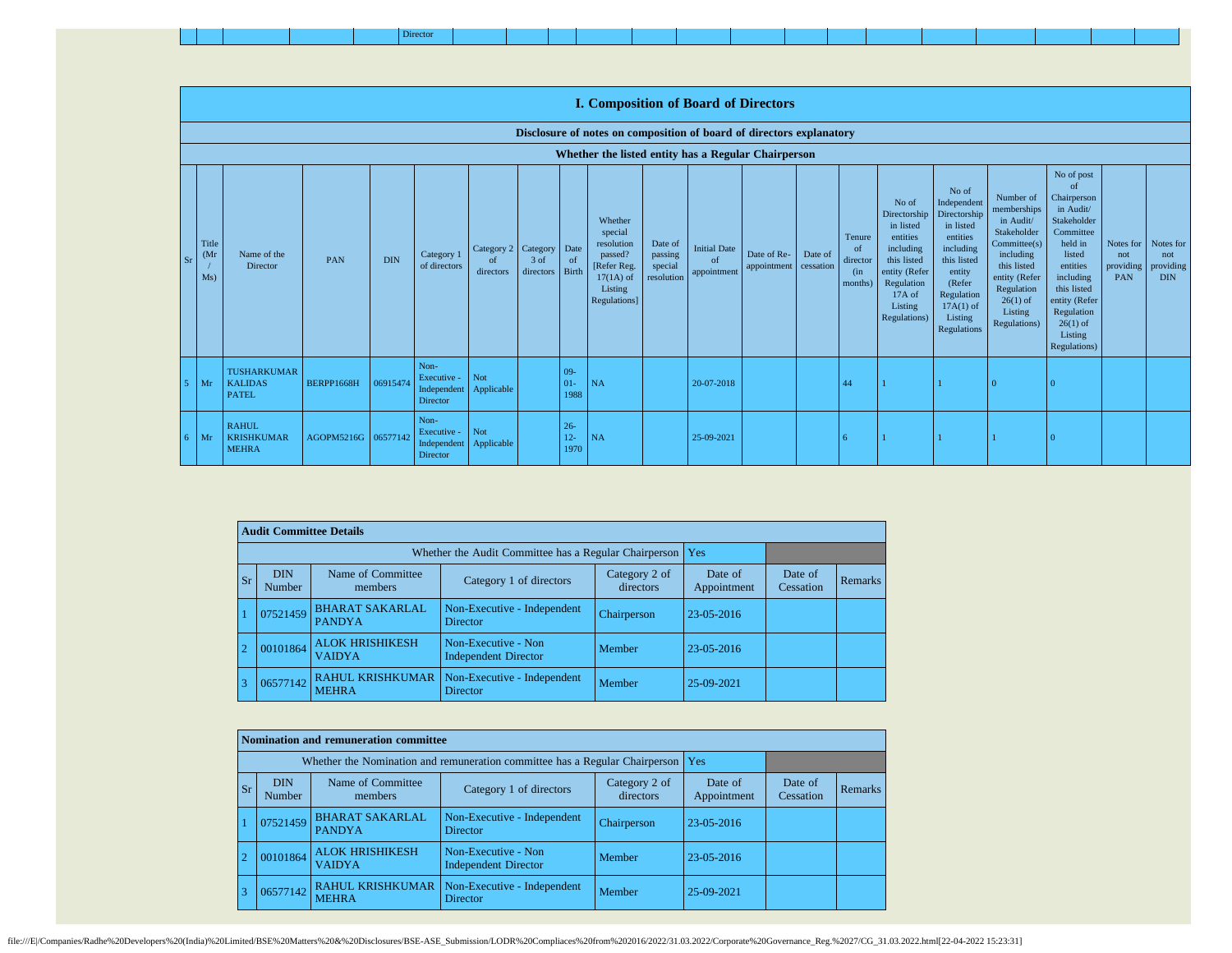|--|

|               |                                   |                                                      |            |            |                                                |                                        |                     |                                | <b>I. Composition of Board of Directors</b>                                                          |                                             |                                          |                            |                      |                                                       |                                                                                                                                                |                                                                                                                                                                      |                                                                                                                                                                          |                                                                                                                                                                                                               |                                      |                                             |
|---------------|-----------------------------------|------------------------------------------------------|------------|------------|------------------------------------------------|----------------------------------------|---------------------|--------------------------------|------------------------------------------------------------------------------------------------------|---------------------------------------------|------------------------------------------|----------------------------|----------------------|-------------------------------------------------------|------------------------------------------------------------------------------------------------------------------------------------------------|----------------------------------------------------------------------------------------------------------------------------------------------------------------------|--------------------------------------------------------------------------------------------------------------------------------------------------------------------------|---------------------------------------------------------------------------------------------------------------------------------------------------------------------------------------------------------------|--------------------------------------|---------------------------------------------|
|               |                                   |                                                      |            |            |                                                |                                        |                     |                                | Disclosure of notes on composition of board of directors explanatory                                 |                                             |                                          |                            |                      |                                                       |                                                                                                                                                |                                                                                                                                                                      |                                                                                                                                                                          |                                                                                                                                                                                                               |                                      |                                             |
|               |                                   |                                                      |            |            |                                                |                                        |                     |                                | Whether the listed entity has a Regular Chairperson                                                  |                                             |                                          |                            |                      |                                                       |                                                                                                                                                |                                                                                                                                                                      |                                                                                                                                                                          |                                                                                                                                                                                                               |                                      |                                             |
| <sub>Sr</sub> | Title<br>(M <sub>I</sub> )<br>Ms) | Name of the<br>Director                              | PAN        | <b>DIN</b> | Category 1<br>of directors                     | Category 2 Category<br>of<br>directors | $3$ of<br>directors | Date<br><sub>of</sub><br>Birth | Whether<br>special<br>resolution<br>passed?<br>[Refer Reg.<br>$17(1A)$ of<br>Listing<br>Regulations] | Date of<br>passing<br>special<br>resolution | <b>Initial Date</b><br>of<br>appointment | Date of Re-<br>appointment | Date of<br>cessation | Tenure<br><sub>of</sub><br>director<br>(in<br>months) | No of<br>Directorship<br>in listed<br>entities<br>including<br>this listed<br>entity (Refer<br>Regulation<br>17A of<br>Listing<br>Regulations) | No of<br>Independent<br>Directorship<br>in listed<br>entities<br>including<br>this listed<br>entity<br>(Refer<br>Regulation<br>$17A(1)$ of<br>Listing<br>Regulations | Number of<br>memberships<br>in Audit/<br>Stakeholder<br>Committee(s)<br>including<br>this listed<br>entity (Refer<br>Regulation<br>$26(1)$ of<br>Listing<br>Regulations) | No of post<br>of<br>Chairperson<br>in Audit/<br>Stakeholder<br>Committee<br>held in<br>listed<br>entities<br>including<br>this listed<br>entity (Refer<br>Regulation<br>$26(1)$ of<br>Listing<br>Regulations) | Notes for<br>not<br>providing<br>PAN | Notes for<br>not<br>providing<br><b>DIN</b> |
|               | Mr                                | <b>TUSHARKUMAR</b><br><b>KALIDAS</b><br><b>PATEL</b> | BERPP1668H | 06915474   | Non-<br>Executive -<br>Independent<br>Director | Not<br>Applicable                      |                     | $09 -$<br>$01 -$<br>1988       | NA                                                                                                   |                                             | 20-07-2018                               |                            |                      | 44                                                    |                                                                                                                                                |                                                                                                                                                                      |                                                                                                                                                                          |                                                                                                                                                                                                               |                                      |                                             |
| 6.            | Mr                                | <b>RAHUL</b><br><b>KRISHKUMAR</b><br><b>MEHRA</b>    | AGOPM5216G | 06577142   | Non-<br>Executive -<br>Independent<br>Director | Not<br>Applicable                      |                     | $26 -$<br>$12 -$<br>1970       | NA                                                                                                   |                                             | 25-09-2021                               |                            |                      | 6                                                     |                                                                                                                                                |                                                                                                                                                                      |                                                                                                                                                                          |                                                                                                                                                                                                               |                                      |                                             |

|           | <b>Audit Committee Details</b> |                                         |                                                             |                            |                        |                      |                |
|-----------|--------------------------------|-----------------------------------------|-------------------------------------------------------------|----------------------------|------------------------|----------------------|----------------|
|           |                                |                                         | Whether the Audit Committee has a Regular Chairperson   Yes |                            |                        |                      |                |
| <b>Sr</b> | <b>DIN</b><br>Number           | Name of Committee<br>members            | Category 1 of directors                                     | Category 2 of<br>directors | Date of<br>Appointment | Date of<br>Cessation | <b>Remarks</b> |
|           | 07521459                       | <b>BHARAT SAKARLAL</b><br><b>PANDYA</b> | Non-Executive - Independent<br><b>Director</b>              | Chairperson                | 23-05-2016             |                      |                |
|           | 00101864                       | <b>ALOK HRISHIKESH</b><br><b>VAIDYA</b> | Non-Executive - Non<br><b>Independent Director</b>          | Member                     | 23-05-2016             |                      |                |
|           | 06577142                       | <b>RAHUL KRISHKUMAR</b><br><b>MEHRA</b> | Non-Executive - Independent<br><b>Director</b>              | Member                     | 25-09-2021             |                      |                |

|           |                      | Nomination and remuneration committee   |                                                                                   |                            |                        |                      |         |
|-----------|----------------------|-----------------------------------------|-----------------------------------------------------------------------------------|----------------------------|------------------------|----------------------|---------|
|           |                      |                                         | Whether the Nomination and remuneration committee has a Regular Chairperson   Yes |                            |                        |                      |         |
| <b>Sr</b> | <b>DIN</b><br>Number | Name of Committee<br>members            | Category 1 of directors                                                           | Category 2 of<br>directors | Date of<br>Appointment | Date of<br>Cessation | Remarks |
|           | 07521459             | <b>BHARAT SAKARLAL</b><br><b>PANDYA</b> | Non-Executive - Independent<br><b>Director</b>                                    | Chairperson                | 23-05-2016             |                      |         |
|           | 00101864             | <b>ALOK HRISHIKESH</b><br><b>VAIDYA</b> | Non-Executive - Non<br><b>Independent Director</b>                                | Member                     | 23-05-2016             |                      |         |
|           | 06577142             | <b>RAHUL KRISHKUMAR</b><br><b>MEHRA</b> | Non-Executive - Independent<br><b>Director</b>                                    | Member                     | 25-09-2021             |                      |         |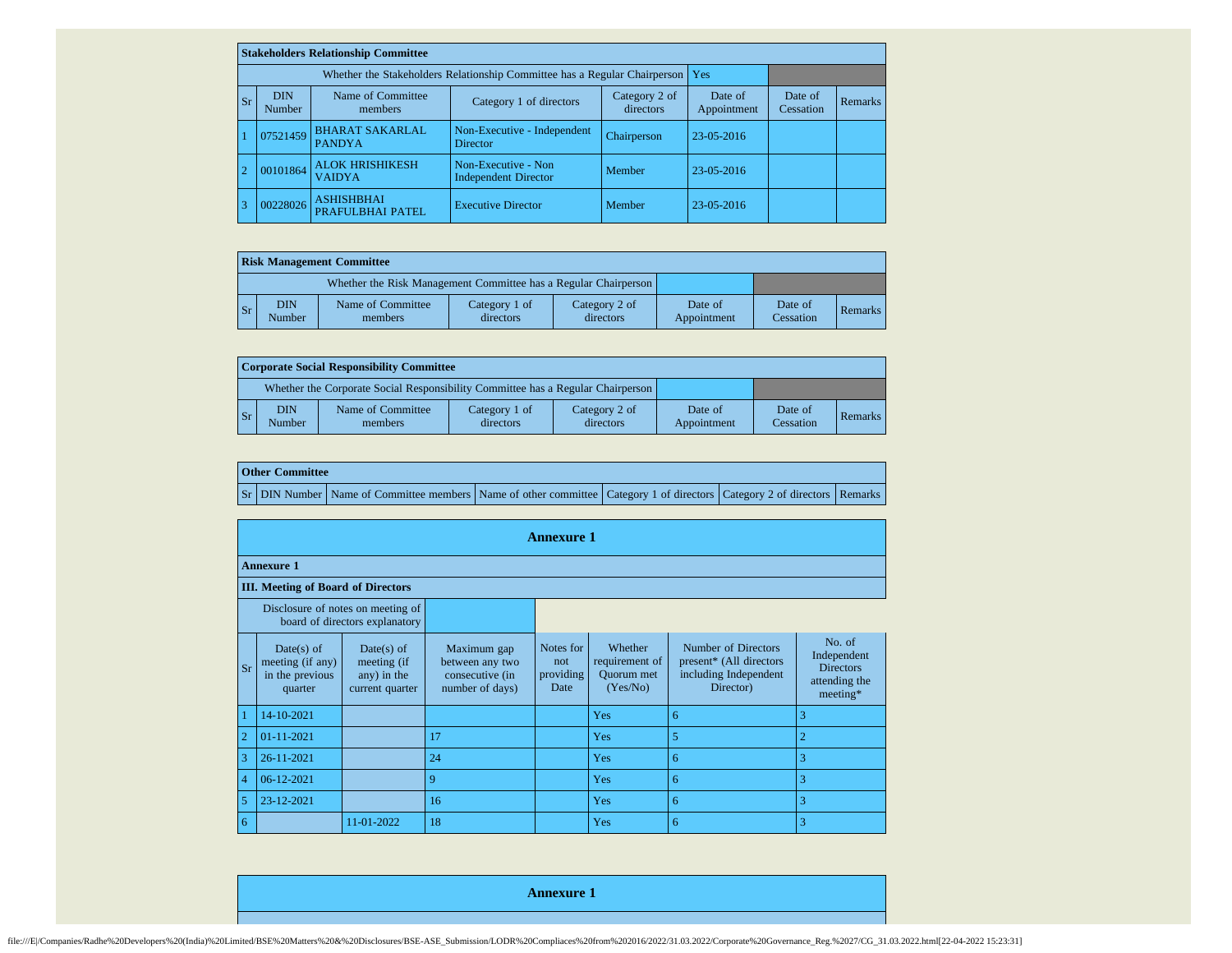|    |           |                                                      | <b>Stakeholders Relationship Committee</b> |                                                                           |                            |                        |                      |                |
|----|-----------|------------------------------------------------------|--------------------------------------------|---------------------------------------------------------------------------|----------------------------|------------------------|----------------------|----------------|
|    |           |                                                      |                                            | Whether the Stakeholders Relationship Committee has a Regular Chairperson |                            | <b>Yes</b>             |                      |                |
|    | <b>Sr</b> | Name of Committee<br><b>DIN</b><br>Number<br>members |                                            | Category 1 of directors                                                   | Category 2 of<br>directors | Date of<br>Appointment | Date of<br>Cessation | <b>Remarks</b> |
|    |           | 07521459                                             | <b>BHARAT SAKARLAL</b><br><b>PANDYA</b>    | Non-Executive - Independent<br><b>Director</b>                            | Chairperson                | $23 - 05 - 2016$       |                      |                |
|    |           | 00101864                                             | <b>ALOK HRISHIKESH</b><br><b>VAIDYA</b>    | Non-Executive - Non<br><b>Independent Director</b>                        | Member                     | 23-05-2016             |                      |                |
| -3 |           | <b>ASHISHBHAI</b><br>00228026<br>PRAFULBHAI PATEL    |                                            | <b>Executive Director</b>                                                 | Member                     | 23-05-2016             |                      |                |

|    | <b>Risk Management Committee</b> |                              |                            |                            |                        |                      |                |  |  |  |  |
|----|----------------------------------|------------------------------|----------------------------|----------------------------|------------------------|----------------------|----------------|--|--|--|--|
|    |                                  |                              |                            |                            |                        |                      |                |  |  |  |  |
| Sr | <b>DIN</b><br>Number             | Name of Committee<br>members | Category 1 of<br>directors | Category 2 of<br>directors | Date of<br>Appointment | Date of<br>Cessation | <b>Remarks</b> |  |  |  |  |

|                                                                                 | Corporate Social Responsibility Committee |                              |                            |                            |                        |                      |         |  |  |  |  |
|---------------------------------------------------------------------------------|-------------------------------------------|------------------------------|----------------------------|----------------------------|------------------------|----------------------|---------|--|--|--|--|
| Whether the Corporate Social Responsibility Committee has a Regular Chairperson |                                           |                              |                            |                            |                        |                      |         |  |  |  |  |
| $\mathsf{S}$ r                                                                  | DIN<br>Number                             | Name of Committee<br>members | Category 1 of<br>directors | Category 2 of<br>directors | Date of<br>Appointment | Date of<br>Cessation | Remarks |  |  |  |  |

|  | <b>Other Committee</b> |                                                                                                                         |  |  |
|--|------------------------|-------------------------------------------------------------------------------------------------------------------------|--|--|
|  |                        | Sr DIN Number Name of Committee members Name of other committee Category 1 of directors Category 2 of directors Remarks |  |  |

|                |                                                                |                                                                     |                                                                      | <b>Annexure 1</b>                      |                                                            |                                                                                      |                                                                        |
|----------------|----------------------------------------------------------------|---------------------------------------------------------------------|----------------------------------------------------------------------|----------------------------------------|------------------------------------------------------------|--------------------------------------------------------------------------------------|------------------------------------------------------------------------|
|                | <b>Annexure 1</b>                                              |                                                                     |                                                                      |                                        |                                                            |                                                                                      |                                                                        |
|                | <b>III.</b> Meeting of Board of Directors                      |                                                                     |                                                                      |                                        |                                                            |                                                                                      |                                                                        |
|                |                                                                | Disclosure of notes on meeting of<br>board of directors explanatory |                                                                      |                                        |                                                            |                                                                                      |                                                                        |
| <b>Sr</b>      | $Date(s)$ of<br>meeting (if any)<br>in the previous<br>quarter | Date(s) of<br>meeting (if<br>any) in the<br>current quarter         | Maximum gap<br>between any two<br>consecutive (in<br>number of days) | Notes for<br>not.<br>providing<br>Date | Whether<br>requirement of<br><b>Ouorum</b> met<br>(Yes/No) | Number of Directors<br>present* (All directors<br>including Independent<br>Director) | No. of<br>Independent<br><b>Directors</b><br>attending the<br>meeting* |
| -1             | 14-10-2021                                                     |                                                                     |                                                                      |                                        | Yes                                                        | 6                                                                                    | 3                                                                      |
| $\overline{2}$ | $01 - 11 - 2021$                                               |                                                                     | 17                                                                   |                                        | <b>Yes</b>                                                 | 5                                                                                    | $\overline{2}$                                                         |
| 3              | 26-11-2021                                                     |                                                                     | 24                                                                   |                                        | Yes                                                        | 6                                                                                    | 3                                                                      |
| $\overline{4}$ | 06-12-2021                                                     |                                                                     | 9                                                                    |                                        | Yes                                                        | 6                                                                                    | 3                                                                      |
| 5              | 23-12-2021                                                     |                                                                     | 16                                                                   |                                        | Yes                                                        | 6                                                                                    | 3                                                                      |
| 6              |                                                                | 11-01-2022                                                          | 18                                                                   |                                        | Yes                                                        | 6                                                                                    | 3                                                                      |

**Annexure 1**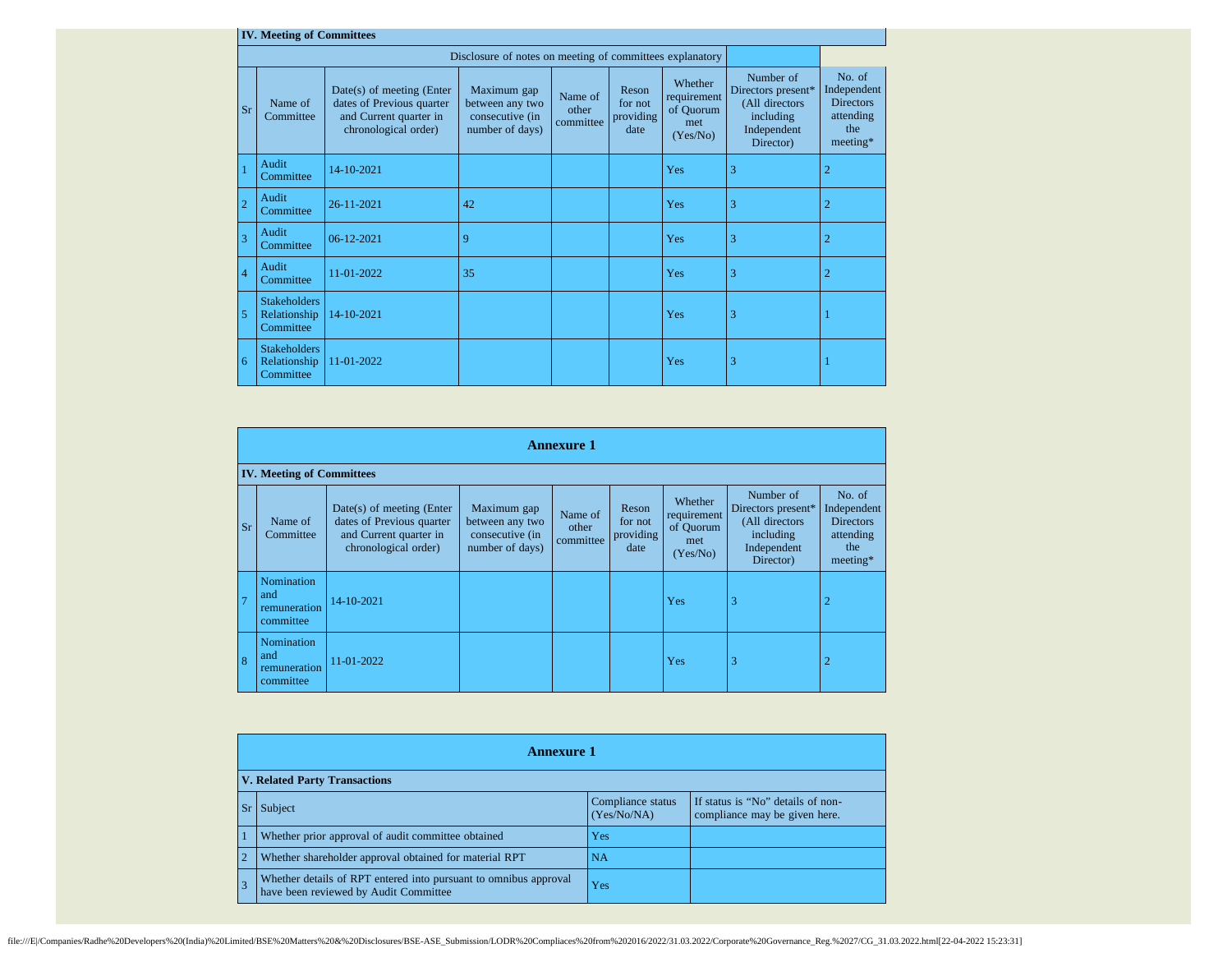|                | <b>IV. Meeting of Committees</b>                 |                                                                                                            |                                                                      |                               |                                       |                                                        |                                                                                            |                                                                           |
|----------------|--------------------------------------------------|------------------------------------------------------------------------------------------------------------|----------------------------------------------------------------------|-------------------------------|---------------------------------------|--------------------------------------------------------|--------------------------------------------------------------------------------------------|---------------------------------------------------------------------------|
|                |                                                  |                                                                                                            | Disclosure of notes on meeting of committees explanatory             |                               |                                       |                                                        |                                                                                            |                                                                           |
| Sr             | Name of<br>Committee                             | $Date(s)$ of meeting (Enter<br>dates of Previous quarter<br>and Current quarter in<br>chronological order) | Maximum gap<br>between any two<br>consecutive (in<br>number of days) | Name of<br>other<br>committee | Reson<br>for not<br>providing<br>date | Whether<br>requirement<br>of Quorum<br>met<br>(Yes/No) | Number of<br>Directors present*<br>(All directors<br>including<br>Independent<br>Director) | No. of<br>Independent<br><b>Directors</b><br>attending<br>the<br>meeting* |
|                | Audit<br>Committee                               | 14-10-2021                                                                                                 |                                                                      |                               |                                       | Yes                                                    | 3                                                                                          | $\overline{2}$                                                            |
| $\overline{2}$ | Audit<br>Committee                               | 26-11-2021                                                                                                 | 42                                                                   |                               |                                       | Yes                                                    | 3                                                                                          | $\overline{2}$                                                            |
| $\overline{3}$ | Audit<br>Committee                               | 06-12-2021                                                                                                 | 9                                                                    |                               |                                       | Yes                                                    | 3                                                                                          | $\overline{2}$                                                            |
| $\overline{4}$ | Audit<br>Committee                               | 11-01-2022                                                                                                 | 35                                                                   |                               |                                       | Yes                                                    | 3                                                                                          | $\overline{2}$                                                            |
| $\overline{5}$ | <b>Stakeholders</b><br>Relationship<br>Committee | 14-10-2021                                                                                                 |                                                                      |                               |                                       | Yes                                                    | 3                                                                                          |                                                                           |
| 6              | <b>Stakeholders</b><br>Relationship<br>Committee | 11-01-2022                                                                                                 |                                                                      |                               |                                       | Yes                                                    | 3                                                                                          |                                                                           |

|                | <b>Annexure 1</b> |                                                |                                                                                                            |                                                                      |                               |                                       |                                                        |                                                                                            |                                                                           |
|----------------|-------------------|------------------------------------------------|------------------------------------------------------------------------------------------------------------|----------------------------------------------------------------------|-------------------------------|---------------------------------------|--------------------------------------------------------|--------------------------------------------------------------------------------------------|---------------------------------------------------------------------------|
|                |                   | <b>IV. Meeting of Committees</b>               |                                                                                                            |                                                                      |                               |                                       |                                                        |                                                                                            |                                                                           |
|                | <b>Sr</b>         | Name of<br>Committee                           | $Date(s)$ of meeting (Enter<br>dates of Previous quarter<br>and Current quarter in<br>chronological order) | Maximum gap<br>between any two<br>consecutive (in<br>number of days) | Name of<br>other<br>committee | Reson<br>for not<br>providing<br>date | Whether<br>requirement<br>of Quorum<br>met<br>(Yes/No) | Number of<br>Directors present*<br>(All directors<br>including<br>Independent<br>Director) | No. of<br>Independent<br><b>Directors</b><br>attending<br>the<br>meeting* |
| $\overline{7}$ |                   | Nomination<br>and<br>remuneration<br>committee | 14-10-2021                                                                                                 |                                                                      |                               |                                       | Yes                                                    | 3                                                                                          | 2                                                                         |
| 8              |                   | Nomination<br>and<br>remuneration<br>committee | 11-01-2022                                                                                                 |                                                                      |                               |                                       | Yes                                                    | 3                                                                                          | 2                                                                         |

|                | Annexure 1                                                                                                |                                  |                                                                    |  |  |  |
|----------------|-----------------------------------------------------------------------------------------------------------|----------------------------------|--------------------------------------------------------------------|--|--|--|
|                | <b>V. Related Party Transactions</b>                                                                      |                                  |                                                                    |  |  |  |
| <b>Sr</b>      | Subject                                                                                                   | Compliance status<br>(Yes/No/NA) | If status is "No" details of non-<br>compliance may be given here. |  |  |  |
|                | Whether prior approval of audit committee obtained                                                        | Yes                              |                                                                    |  |  |  |
| $\overline{2}$ | Whether shareholder approval obtained for material RPT                                                    | <b>NA</b>                        |                                                                    |  |  |  |
|                | Whether details of RPT entered into pursuant to omnibus approval<br>have been reviewed by Audit Committee | Yes                              |                                                                    |  |  |  |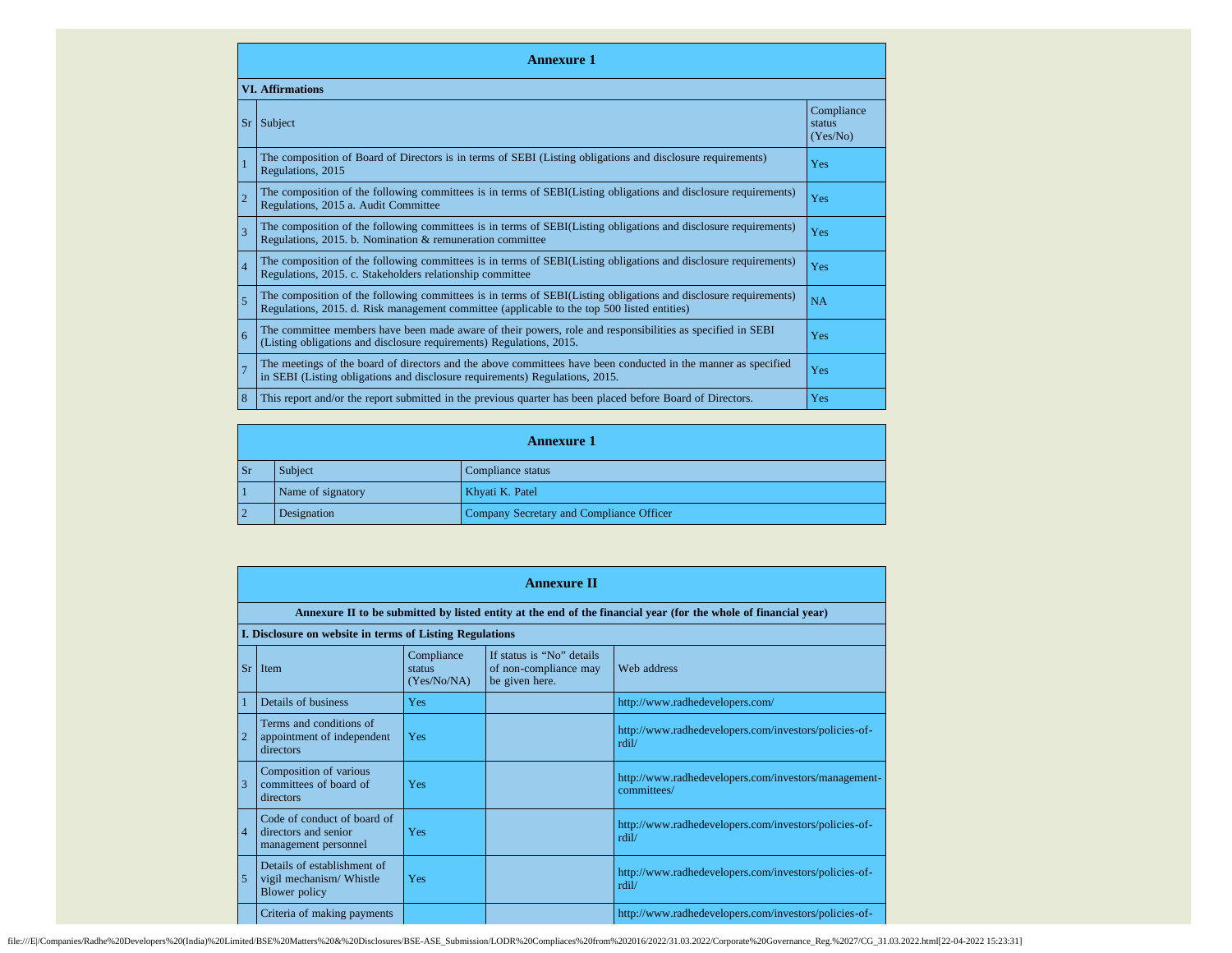|                | <b>Annexure 1</b>                                                                                                                                                                                               |                                  |  |  |  |  |
|----------------|-----------------------------------------------------------------------------------------------------------------------------------------------------------------------------------------------------------------|----------------------------------|--|--|--|--|
|                | <b>VI.</b> Affirmations                                                                                                                                                                                         |                                  |  |  |  |  |
| <b>Sr</b>      | Subject                                                                                                                                                                                                         | Compliance<br>status<br>(Yes/No) |  |  |  |  |
| $\overline{1}$ | The composition of Board of Directors is in terms of SEBI (Listing obligations and disclosure requirements)<br>Regulations, 2015                                                                                | Yes                              |  |  |  |  |
| $\overline{2}$ | The composition of the following committees is in terms of SEBI(Listing obligations and disclosure requirements)<br>Regulations, 2015 a. Audit Committee                                                        | Yes                              |  |  |  |  |
| $\overline{3}$ | The composition of the following committees is in terms of SEBI(Listing obligations and disclosure requirements)<br>Regulations, 2015. b. Nomination & remuneration committee                                   | Yes                              |  |  |  |  |
| $\overline{4}$ | The composition of the following committees is in terms of SEBI(Listing obligations and disclosure requirements)<br>Regulations, 2015. c. Stakeholders relationship committee                                   | Yes                              |  |  |  |  |
| $\overline{5}$ | The composition of the following committees is in terms of SEBI(Listing obligations and disclosure requirements)<br>Regulations, 2015. d. Risk management committee (applicable to the top 500 listed entities) | <b>NA</b>                        |  |  |  |  |
| 6              | The committee members have been made aware of their powers, role and responsibilities as specified in SEBI<br>(Listing obligations and disclosure requirements) Regulations, 2015.                              | Yes                              |  |  |  |  |
| $\overline{7}$ | The meetings of the board of directors and the above committees have been conducted in the manner as specified<br>in SEBI (Listing obligations and disclosure requirements) Regulations, 2015.                  | Yes                              |  |  |  |  |
| 8              | This report and/or the report submitted in the previous quarter has been placed before Board of Directors.                                                                                                      | Yes                              |  |  |  |  |

|                | <b>Annexure 1</b>                                       |  |  |  |  |  |
|----------------|---------------------------------------------------------|--|--|--|--|--|
| $\mathbf{S}$ r | Subject<br>Compliance status                            |  |  |  |  |  |
|                | Name of signatory<br>Khyati K. Patel                    |  |  |  |  |  |
|                | Company Secretary and Compliance Officer<br>Designation |  |  |  |  |  |

|                | <b>Annexure II</b>                                                                                              |                                     |                                                                      |                                                                     |  |  |  |
|----------------|-----------------------------------------------------------------------------------------------------------------|-------------------------------------|----------------------------------------------------------------------|---------------------------------------------------------------------|--|--|--|
|                | Annexure II to be submitted by listed entity at the end of the financial year (for the whole of financial year) |                                     |                                                                      |                                                                     |  |  |  |
|                | I. Disclosure on website in terms of Listing Regulations                                                        |                                     |                                                                      |                                                                     |  |  |  |
|                | $Sr$ Item                                                                                                       | Compliance<br>status<br>(Yes/No/NA) | If status is "No" details<br>of non-compliance may<br>be given here. | Web address                                                         |  |  |  |
|                | Details of business                                                                                             | Yes                                 |                                                                      | http://www.radhedevelopers.com/                                     |  |  |  |
| $\overline{2}$ | Terms and conditions of<br>appointment of independent<br>directors                                              | Yes                                 |                                                                      | http://www.radhedevelopers.com/investors/policies-of-<br>rdil/      |  |  |  |
| 3              | Composition of various<br>committees of board of<br>directors                                                   | Yes                                 |                                                                      | http://www.radhedevelopers.com/investors/management-<br>committees/ |  |  |  |
| $\overline{4}$ | Code of conduct of board of<br>directors and senior<br>management personnel                                     | Yes                                 |                                                                      | http://www.radhedevelopers.com/investors/policies-of-<br>rdil/      |  |  |  |
| 5              | Details of establishment of<br>vigil mechanism/ Whistle<br>Blower policy                                        | Yes                                 |                                                                      | http://www.radhedevelopers.com/investors/policies-of-<br>rdil/      |  |  |  |
|                | Criteria of making payments                                                                                     |                                     |                                                                      | http://www.radhedevelopers.com/investors/policies-of-               |  |  |  |

file:///E//Companies/Radhe%20Developers%20(India)%20Limited/BSE%20Matters%20&%20Disclosures/BSE-ASE\_Submission/LODR%20Compliaces%20from%202016/2022/31.03.2022/Corporate%20Governance\_Reg.%2027/CG\_31.03.2022.html[22-04-2022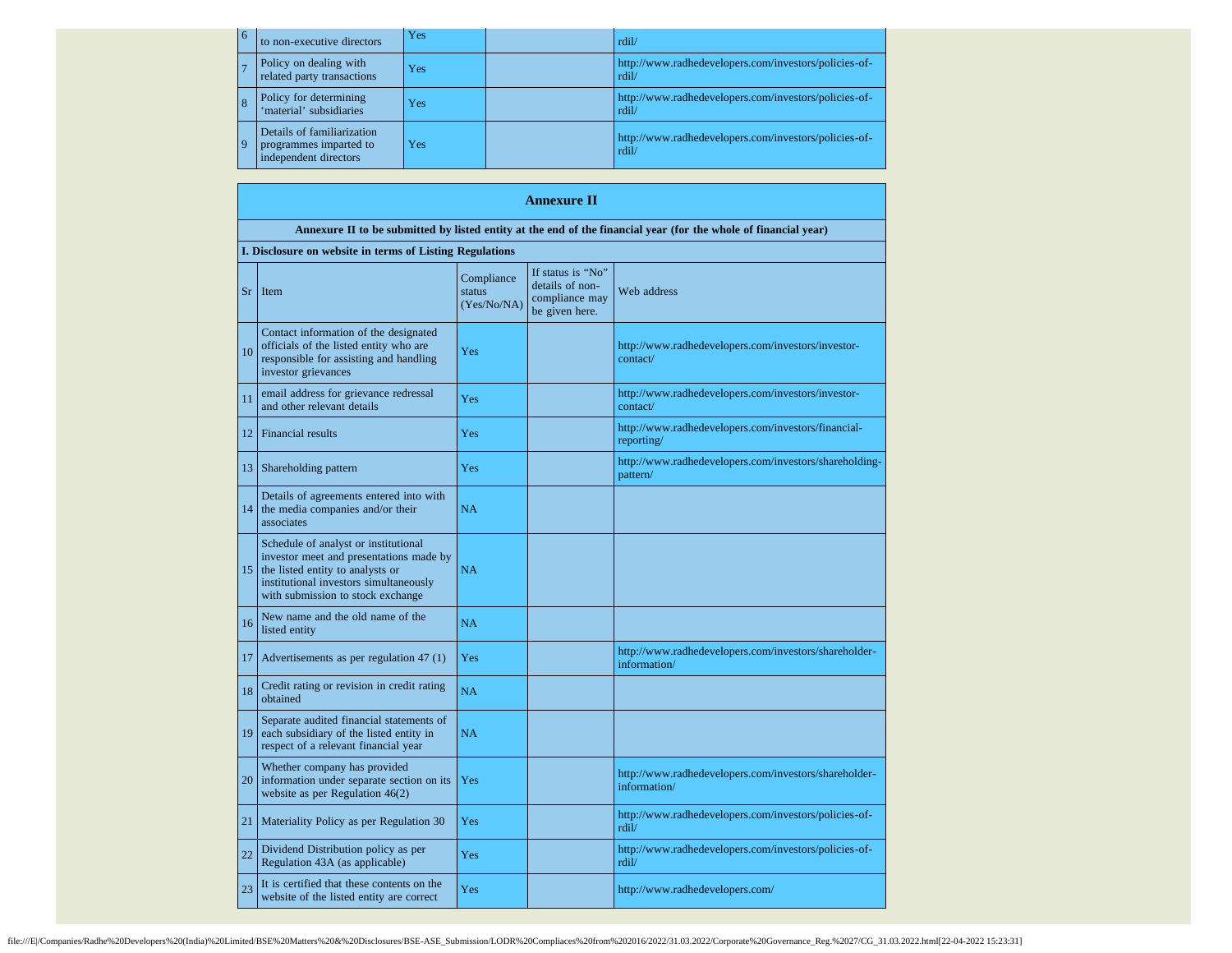| $\overline{6}$ | to non-executive directors                                                    | Yes              | rdil/                                                          |
|----------------|-------------------------------------------------------------------------------|------------------|----------------------------------------------------------------|
|                | Policy on dealing with<br>related party transactions                          | Yes <sup>.</sup> | http://www.radhedevelopers.com/investors/policies-of-<br>rdil/ |
|                | Policy for determining<br>'material' subsidiaries                             | Yes              | http://www.radhedevelopers.com/investors/policies-of-<br>rdil/ |
| <u>  9</u>     | Details of familiarization<br>programmes imparted to<br>independent directors | Yes              | http://www.radhedevelopers.com/investors/policies-of-<br>rdil/ |

|    | <b>Annexure II</b>                                                                                                                                                                                 |                                     |                                                                          |                                                                       |  |  |  |  |  |
|----|----------------------------------------------------------------------------------------------------------------------------------------------------------------------------------------------------|-------------------------------------|--------------------------------------------------------------------------|-----------------------------------------------------------------------|--|--|--|--|--|
|    | Annexure II to be submitted by listed entity at the end of the financial year (for the whole of financial year)                                                                                    |                                     |                                                                          |                                                                       |  |  |  |  |  |
|    | I. Disclosure on website in terms of Listing Regulations                                                                                                                                           |                                     |                                                                          |                                                                       |  |  |  |  |  |
| Sr | Item                                                                                                                                                                                               | Compliance<br>status<br>(Yes/No/NA) | If status is "No"<br>details of non-<br>compliance may<br>be given here. | Web address                                                           |  |  |  |  |  |
| 10 | Contact information of the designated<br>officials of the listed entity who are<br>responsible for assisting and handling<br>investor grievances                                                   | Yes                                 |                                                                          | http://www.radhedevelopers.com/investors/investor-<br>contact/        |  |  |  |  |  |
| 11 | email address for grievance redressal<br>and other relevant details                                                                                                                                | Yes                                 |                                                                          | http://www.radhedevelopers.com/investors/investor-<br>contact/        |  |  |  |  |  |
| 12 | <b>Financial results</b>                                                                                                                                                                           | Yes                                 |                                                                          | http://www.radhedevelopers.com/investors/financial-<br>reporting/     |  |  |  |  |  |
| 13 | Shareholding pattern                                                                                                                                                                               | Yes                                 |                                                                          | http://www.radhedevelopers.com/investors/shareholding-<br>pattern/    |  |  |  |  |  |
| 14 | Details of agreements entered into with<br>the media companies and/or their<br>associates                                                                                                          | NA                                  |                                                                          |                                                                       |  |  |  |  |  |
| 15 | Schedule of analyst or institutional<br>investor meet and presentations made by<br>the listed entity to analysts or<br>institutional investors simultaneously<br>with submission to stock exchange | NA                                  |                                                                          |                                                                       |  |  |  |  |  |
| 16 | New name and the old name of the<br>listed entity                                                                                                                                                  | <b>NA</b>                           |                                                                          |                                                                       |  |  |  |  |  |
| 17 | Advertisements as per regulation 47 (1)                                                                                                                                                            | Yes                                 |                                                                          | http://www.radhedevelopers.com/investors/shareholder-<br>information/ |  |  |  |  |  |
| 18 | Credit rating or revision in credit rating<br>obtained                                                                                                                                             | <b>NA</b>                           |                                                                          |                                                                       |  |  |  |  |  |
| 19 | Separate audited financial statements of<br>each subsidiary of the listed entity in<br>respect of a relevant financial year                                                                        | <b>NA</b>                           |                                                                          |                                                                       |  |  |  |  |  |
| 20 | Whether company has provided<br>information under separate section on its<br>website as per Regulation 46(2)                                                                                       | Yes                                 |                                                                          | http://www.radhedevelopers.com/investors/shareholder-<br>information/ |  |  |  |  |  |
| 21 | Materiality Policy as per Regulation 30                                                                                                                                                            | Yes                                 |                                                                          | http://www.radhedevelopers.com/investors/policies-of-<br>rdil/        |  |  |  |  |  |
| 22 | Dividend Distribution policy as per<br>Regulation 43A (as applicable)                                                                                                                              | Yes                                 |                                                                          | http://www.radhedevelopers.com/investors/policies-of-<br>rdil/        |  |  |  |  |  |
| 23 | It is certified that these contents on the<br>website of the listed entity are correct                                                                                                             | Yes                                 |                                                                          | http://www.radhedevelopers.com/                                       |  |  |  |  |  |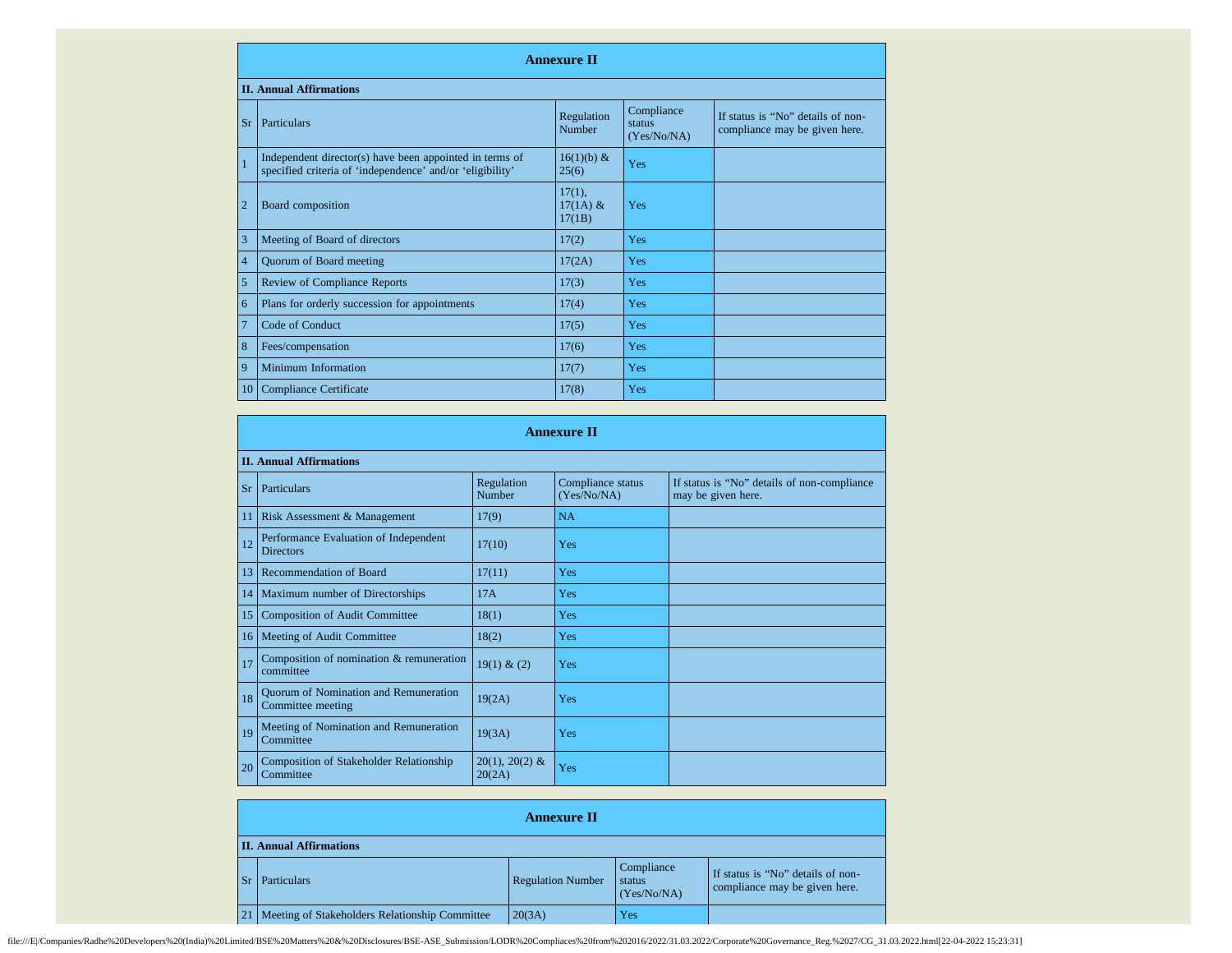|                | <b>Annexure II</b>                                                                                                   |                                   |                                     |                                                                    |  |  |
|----------------|----------------------------------------------------------------------------------------------------------------------|-----------------------------------|-------------------------------------|--------------------------------------------------------------------|--|--|
|                | <b>II. Annual Affirmations</b>                                                                                       |                                   |                                     |                                                                    |  |  |
| Sr             | Particulars                                                                                                          | Regulation<br>Number              | Compliance<br>status<br>(Yes/No/NA) | If status is "No" details of non-<br>compliance may be given here. |  |  |
| $\mathbf{1}$   | Independent director(s) have been appointed in terms of<br>specified criteria of 'independence' and/or 'eligibility' | $16(1)(b)$ &<br>25(6)             | Yes                                 |                                                                    |  |  |
| $\overline{2}$ | Board composition                                                                                                    | $17(1)$ ,<br>$17(1A)$ &<br>17(1B) | Yes                                 |                                                                    |  |  |
| 3              | Meeting of Board of directors                                                                                        | 17(2)                             | Yes                                 |                                                                    |  |  |
| $\overline{4}$ | Quorum of Board meeting                                                                                              | 17(2A)                            | Yes                                 |                                                                    |  |  |
| 5              | <b>Review of Compliance Reports</b>                                                                                  | 17(3)                             | Yes                                 |                                                                    |  |  |
| 6              | Plans for orderly succession for appointments                                                                        | 17(4)                             | Yes                                 |                                                                    |  |  |
| 7              | Code of Conduct                                                                                                      | 17(5)                             | Yes                                 |                                                                    |  |  |
| 8              | Fees/compensation                                                                                                    | 17(6)                             | Yes                                 |                                                                    |  |  |
| 9              | Minimum Information                                                                                                  | 17(7)                             | Yes                                 |                                                                    |  |  |
| 10             | Compliance Certificate                                                                                               | 17(8)                             | Yes                                 |                                                                    |  |  |

|                 | <b>Annexure II</b>                                          |                            |                                  |                                                                   |  |  |  |
|-----------------|-------------------------------------------------------------|----------------------------|----------------------------------|-------------------------------------------------------------------|--|--|--|
|                 | <b>II. Annual Affirmations</b>                              |                            |                                  |                                                                   |  |  |  |
|                 | Sr Particulars                                              | Regulation<br>Number       | Compliance status<br>(Yes/No/NA) | If status is "No" details of non-compliance<br>may be given here. |  |  |  |
| 11              | Risk Assessment & Management                                | 17(9)                      | <b>NA</b>                        |                                                                   |  |  |  |
| 12              | Performance Evaluation of Independent<br><b>Directors</b>   | 17(10)                     | Yes                              |                                                                   |  |  |  |
| 13              | Recommendation of Board                                     | 17(11)                     | Yes                              |                                                                   |  |  |  |
| 14              | Maximum number of Directorships                             | 17A                        | Yes                              |                                                                   |  |  |  |
| 15              | <b>Composition of Audit Committee</b>                       | 18(1)                      | Yes                              |                                                                   |  |  |  |
| 16 <sup>1</sup> | Meeting of Audit Committee                                  | 18(2)                      | Yes                              |                                                                   |  |  |  |
| 17              | Composition of nomination & remuneration<br>committee       | 19(1) & (2)                | Yes                              |                                                                   |  |  |  |
| 18              | Quorum of Nomination and Remuneration<br>Committee meeting  | 19(2A)                     | Yes                              |                                                                   |  |  |  |
| 19              | Meeting of Nomination and Remuneration<br>Committee         | 19(3A)                     | Yes                              |                                                                   |  |  |  |
| 20              | <b>Composition of Stakeholder Relationship</b><br>Committee | $20(1), 20(2)$ &<br>20(2A) | Yes                              |                                                                   |  |  |  |

|                                                     | <b>Annexure II</b>       |                                     |                                                                    |  |
|-----------------------------------------------------|--------------------------|-------------------------------------|--------------------------------------------------------------------|--|
| <b>II. Annual Affirmations</b>                      |                          |                                     |                                                                    |  |
| Sr Particulars                                      | <b>Regulation Number</b> | Compliance<br>status<br>(Yes/No/NA) | If status is "No" details of non-<br>compliance may be given here. |  |
| 21   Meeting of Stakeholders Relationship Committee | 20(3A)                   | Yes                                 |                                                                    |  |

file:///E//Companies/Radhe%20Developers%20(India)%20Limited/BSE%20Matters%20&%20Disclosures/BSE-ASE\_Submission/LODR%20Compliaces%20from%202016/2022/31.03.2022/Corporate%20Governance\_Reg.%2027/CG\_31.03.2022.html[22-04-2022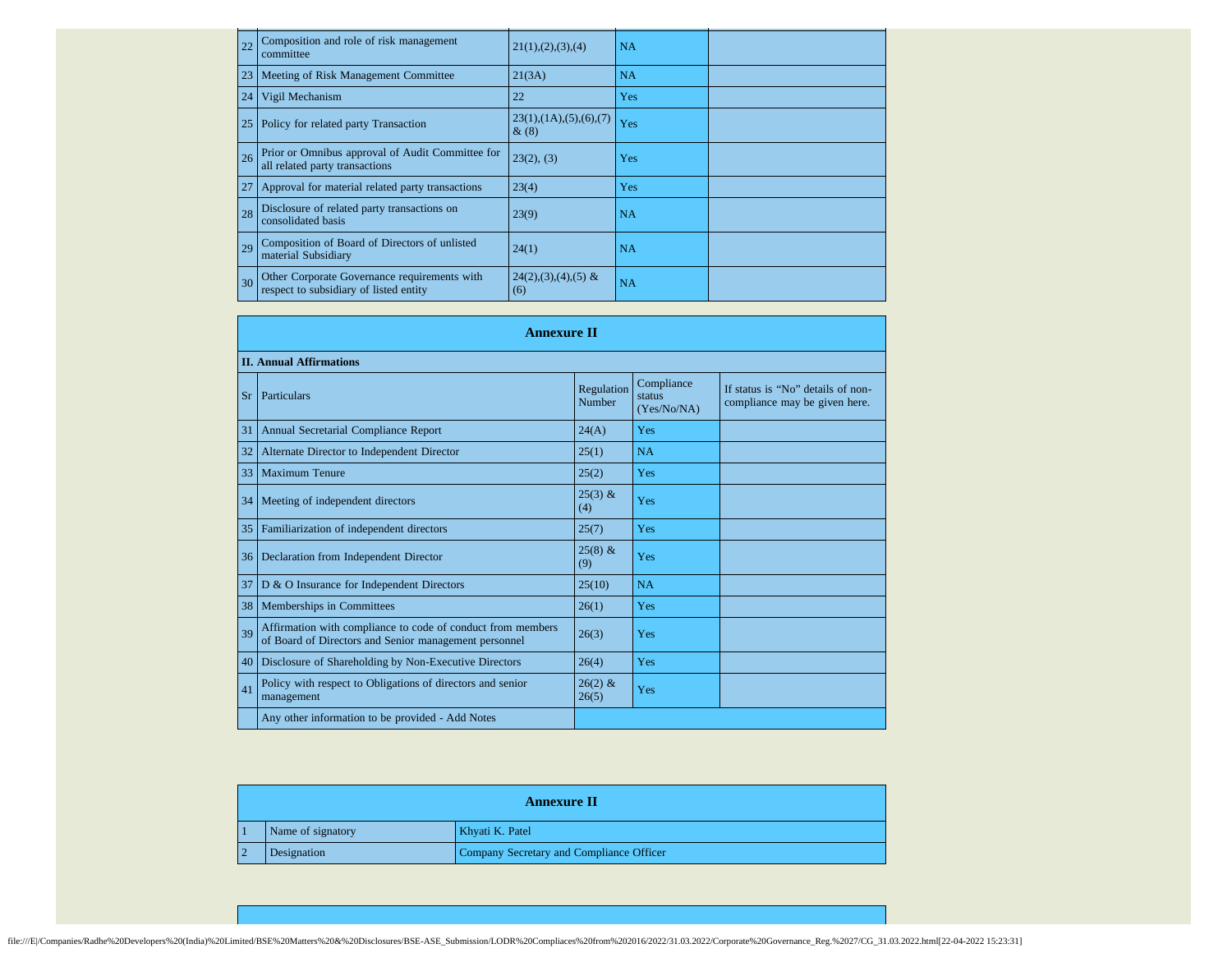| 22 | Composition and role of risk management<br>committee                                   | 21(1), (2), (3), (4)               | NA        |  |
|----|----------------------------------------------------------------------------------------|------------------------------------|-----------|--|
|    | 23 Meeting of Risk Management Committee                                                | 21(3A)                             | <b>NA</b> |  |
| 24 | Vigil Mechanism                                                                        | 22                                 | Yes       |  |
| 25 | Policy for related party Transaction                                                   | 23(1), (1A), (5), (6), (7)<br>&(8) | Yes       |  |
| 26 | Prior or Omnibus approval of Audit Committee for<br>all related party transactions     | 23(2), (3)                         | Yes       |  |
| 27 | Approval for material related party transactions                                       | 23(4)                              | Yes       |  |
| 28 | Disclosure of related party transactions on<br>consolidated basis                      | 23(9)                              | <b>NA</b> |  |
| 29 | Composition of Board of Directors of unlisted<br>material Subsidiary                   | 24(1)                              | <b>NA</b> |  |
| 30 | Other Corporate Governance requirements with<br>respect to subsidiary of listed entity | $24(2),(3),(4),(5)$ &<br>(6)       | NA        |  |

|           | <b>Annexure II</b>                                                                                                   |                      |                                     |                                                                    |  |  |  |
|-----------|----------------------------------------------------------------------------------------------------------------------|----------------------|-------------------------------------|--------------------------------------------------------------------|--|--|--|
|           | <b>II. Annual Affirmations</b>                                                                                       |                      |                                     |                                                                    |  |  |  |
| <b>Sr</b> | Particulars                                                                                                          | Regulation<br>Number | Compliance<br>status<br>(Yes/No/NA) | If status is "No" details of non-<br>compliance may be given here. |  |  |  |
| 31        | Annual Secretarial Compliance Report                                                                                 | 24(A)                | Yes                                 |                                                                    |  |  |  |
| 32        | Alternate Director to Independent Director                                                                           | 25(1)                | <b>NA</b>                           |                                                                    |  |  |  |
| 33        | <b>Maximum Tenure</b>                                                                                                | 25(2)                | Yes                                 |                                                                    |  |  |  |
| 34        | Meeting of independent directors                                                                                     | $25(3)$ &<br>(4)     | Yes                                 |                                                                    |  |  |  |
| 35        | Familiarization of independent directors                                                                             | 25(7)                | Yes                                 |                                                                    |  |  |  |
| 36        | Declaration from Independent Director                                                                                | $25(8)$ &<br>(9)     | Yes                                 |                                                                    |  |  |  |
| 37        | D & O Insurance for Independent Directors                                                                            | 25(10)               | NA                                  |                                                                    |  |  |  |
| 38        | Memberships in Committees                                                                                            | 26(1)                | Yes                                 |                                                                    |  |  |  |
| 39        | Affirmation with compliance to code of conduct from members<br>of Board of Directors and Senior management personnel | 26(3)                | Yes                                 |                                                                    |  |  |  |
| 40        | Disclosure of Shareholding by Non-Executive Directors                                                                | 26(4)                | Yes                                 |                                                                    |  |  |  |
| 41        | Policy with respect to Obligations of directors and senior<br>management                                             | $26(2)$ &<br>26(5)   | Yes                                 |                                                                    |  |  |  |
|           | Any other information to be provided - Add Notes                                                                     |                      |                                     |                                                                    |  |  |  |

| <b>Annexure II</b> |                   |                                          |
|--------------------|-------------------|------------------------------------------|
|                    | Name of signatory | Khyati K. Patel                          |
|                    | Designation       | Company Secretary and Compliance Officer |